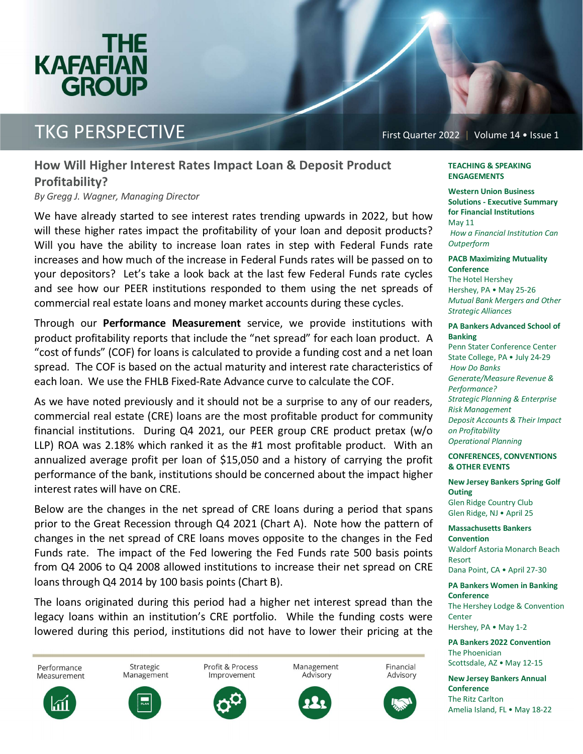

### TKG PERSPECTIVE First Quarter 2022 | Volume 14 • Issue 1

### **How Will Higher Interest Rates Impact Loan & Deposit Product Profitability?**

*By Gregg J. Wagner, Managing Director* 

We have already started to see interest rates trending upwards in 2022, but how will these higher rates impact the profitability of your loan and deposit products? Will you have the ability to increase loan rates in step with Federal Funds rate increases and how much of the increase in Federal Funds rates will be passed on to your depositors? Let's take a look back at the last few Federal Funds rate cycles and see how our PEER institutions responded to them using the net spreads of commercial real estate loans and money market accounts during these cycles.

Through our **Performance Measurement** service, we provide institutions with product profitability reports that include the "net spread" for each loan product. A "cost of funds" (COF) for loans is calculated to provide a funding cost and a net loan spread. The COF is based on the actual maturity and interest rate characteristics of each loan. We use the FHLB Fixed-Rate Advance curve to calculate the COF.

As we have noted previously and it should not be a surprise to any of our readers, commercial real estate (CRE) loans are the most profitable product for community financial institutions. During Q4 2021, our PEER group CRE product pretax (w/o LLP) ROA was 2.18% which ranked it as the #1 most profitable product. With an annualized average profit per loan of \$15,050 and a history of carrying the profit performance of the bank, institutions should be concerned about the impact higher interest rates will have on CRE.

Below are the changes in the net spread of CRE loans during a period that spans prior to the Great Recession through Q4 2021 (Chart A). Note how the pattern of changes in the net spread of CRE loans moves opposite to the changes in the Fed Funds rate. The impact of the Fed lowering the Fed Funds rate 500 basis points from Q4 2006 to Q4 2008 allowed institutions to increase their net spread on CRE loans through Q4 2014 by 100 basis points (Chart B).

The loans originated during this period had a higher net interest spread than the legacy loans within an institution's CRE portfolio. While the funding costs were lowered during this period, institutions did not have to lower their pricing at the



#### **TEACHING & SPEAKING ENGAGEMENTS**

**Western Union Business Solutions Executive Summary for Financial Institutions**  May 11  *How a Financial Institution Can Outperform* 

**PACB Maximizing Mutuality Conference** 

The Hotel Hershey Hershey, PA • May 25-26 *Mutual Bank Mergers and Other Strategic Alliances* 

#### **PA Bankers Advanced School of Banking**

Penn Stater Conference Center State College, PA • July 24-29  *How Do Banks Generate/Measure Revenue & Performance? Strategic Planning & Enterprise Risk Management Deposit Accounts & Their Impact on Profitability Operational Planning* 

**CONFERENCES, CONVENTIONS & OTHER EVENTS** 

**New Jersey Bankers Spring Golf Outing**  Glen Ridge Country Club Glen Ridge, NJ • April 25

**Massachusetts Bankers Convention**  Waldorf Astoria Monarch Beach Resort Dana Point, CA · April 27-30

**PA Bankers Women in Banking Conference**  The Hershey Lodge & Convention **Center** Hershey, PA • May 1-2

**PA Bankers 2022 Convention**  The Phoenician Scottsdale, AZ • May 12-15

**New Jersey Bankers Annual Conference**  The Ritz Carlton Amelia Island, FL • May 18-22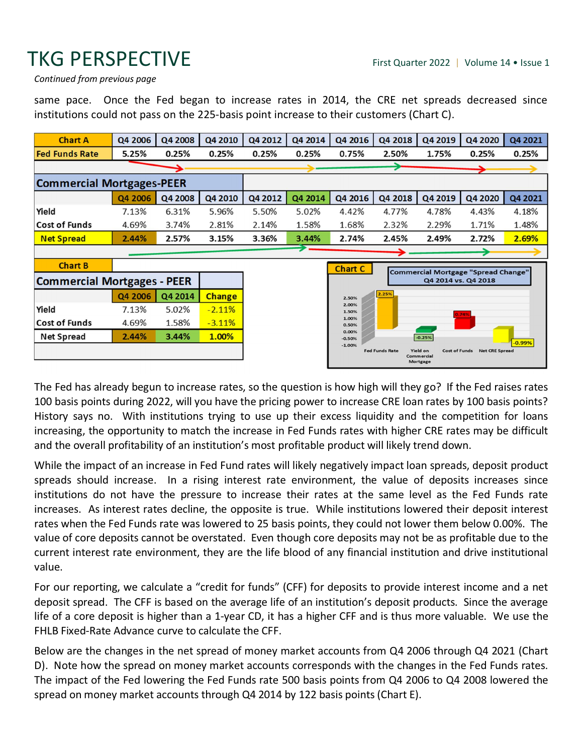## TKG PERSPECTIVE First Quarter 2022 | Volume 14 • Issue 1

*Continued from previous page*

same pace. Once the Fed began to increase rates in 2014, the CRE net spreads decreased since institutions could not pass on the 225-basis point increase to their customers (Chart C).

| <b>Chart A</b>                     | Q4 2006 | Q4 2008 | Q4 2010       | Q4 2012 | Q4 2014 | Q4 2016           | Q4 2018 | Q4 2019             | Q4 2020                                    | Q4 2021  |
|------------------------------------|---------|---------|---------------|---------|---------|-------------------|---------|---------------------|--------------------------------------------|----------|
| <b>Fed Funds Rate</b>              | 5.25%   | 0.25%   | 0.25%         | 0.25%   | 0.25%   | 0.75%             | 2.50%   | 1.75%               | 0.25%                                      | 0.25%    |
|                                    |         |         |               |         |         |                   | ∍       |                     |                                            |          |
| <b>Commercial Mortgages-PEER</b>   |         |         |               |         |         |                   |         |                     |                                            |          |
|                                    | Q4 2006 | Q4 2008 | Q4 2010       | Q4 2012 | Q4 2014 | Q4 2016           | Q4 2018 | Q4 2019             | Q4 2020                                    | Q4 2021  |
| Yield                              | 7.13%   | 6.31%   | 5.96%         | 5.50%   | 5.02%   | 4.42%             | 4.77%   | 4.78%               | 4.43%                                      | 4.18%    |
| <b>Cost of Funds</b>               | 4.69%   | 3.74%   | 2.81%         | 2.14%   | 1.58%   | 1.68%             | 2.32%   | 2.29%               | 1.71%                                      | 1.48%    |
| <b>Net Spread</b>                  | 2.44%   | 2.57%   | 3.15%         | 3.36%   | 3.44%   | 2.74%             | 2.45%   | 2.49%               | 2.72%                                      | 2.69%    |
|                                    |         |         |               |         |         |                   |         |                     |                                            |          |
| <b>Chart B</b>                     |         |         |               |         |         | <b>Chart C</b>    |         |                     | <b>Commercial Mortgage "Spread Change"</b> |          |
| <b>Commercial Mortgages - PEER</b> |         |         |               |         |         |                   |         | Q4 2014 vs. Q4 2018 |                                            |          |
|                                    | Q4 2006 | Q4 2014 | <b>Change</b> |         |         | 2.50%             | 2.25%   |                     |                                            |          |
| Yield                              | 7.13%   | 5.02%   | $-2.11%$      |         |         | 2.00%<br>1.50%    |         |                     | 0.74%                                      |          |
| <b>Cost of Funds</b>               | 4.69%   | 1.58%   | $-3.11%$      |         |         | 1.00%<br>0.50%    |         |                     |                                            |          |
| <b>Net Spread</b>                  | 2.44%   | 3.44%   | 1.00%         |         |         | 0.00%<br>$-0.50%$ |         | $-0.25%$            |                                            | $-0.99%$ |
|                                    |         |         |               |         |         | $-1.00%$          |         |                     |                                            |          |

The Fed has already begun to increase rates, so the question is how high will they go? If the Fed raises rates 100 basis points during 2022, will you have the pricing power to increase CRE loan rates by 100 basis points? History says no. With institutions trying to use up their excess liquidity and the competition for loans increasing, the opportunity to match the increase in Fed Funds rates with higher CRE rates may be difficult and the overall profitability of an institution's most profitable product will likely trend down.

While the impact of an increase in Fed Fund rates will likely negatively impact loan spreads, deposit product spreads should increase. In a rising interest rate environment, the value of deposits increases since institutions do not have the pressure to increase their rates at the same level as the Fed Funds rate increases. As interest rates decline, the opposite is true. While institutions lowered their deposit interest rates when the Fed Funds rate was lowered to 25 basis points, they could not lower them below 0.00%. The value of core deposits cannot be overstated. Even though core deposits may not be as profitable due to the current interest rate environment, they are the life blood of any financial institution and drive institutional value.

For our reporting, we calculate a "credit for funds" (CFF) for deposits to provide interest income and a net deposit spread. The CFF is based on the average life of an institution's deposit products. Since the average life of a core deposit is higher than a 1-year CD, it has a higher CFF and is thus more valuable. We use the FHLB Fixed-Rate Advance curve to calculate the CFF.

Below are the changes in the net spread of money market accounts from Q4 2006 through Q4 2021 (Chart D). Note how the spread on money market accounts corresponds with the changes in the Fed Funds rates. The impact of the Fed lowering the Fed Funds rate 500 basis points from Q4 2006 to Q4 2008 lowered the spread on money market accounts through Q4 2014 by 122 basis points (Chart E).